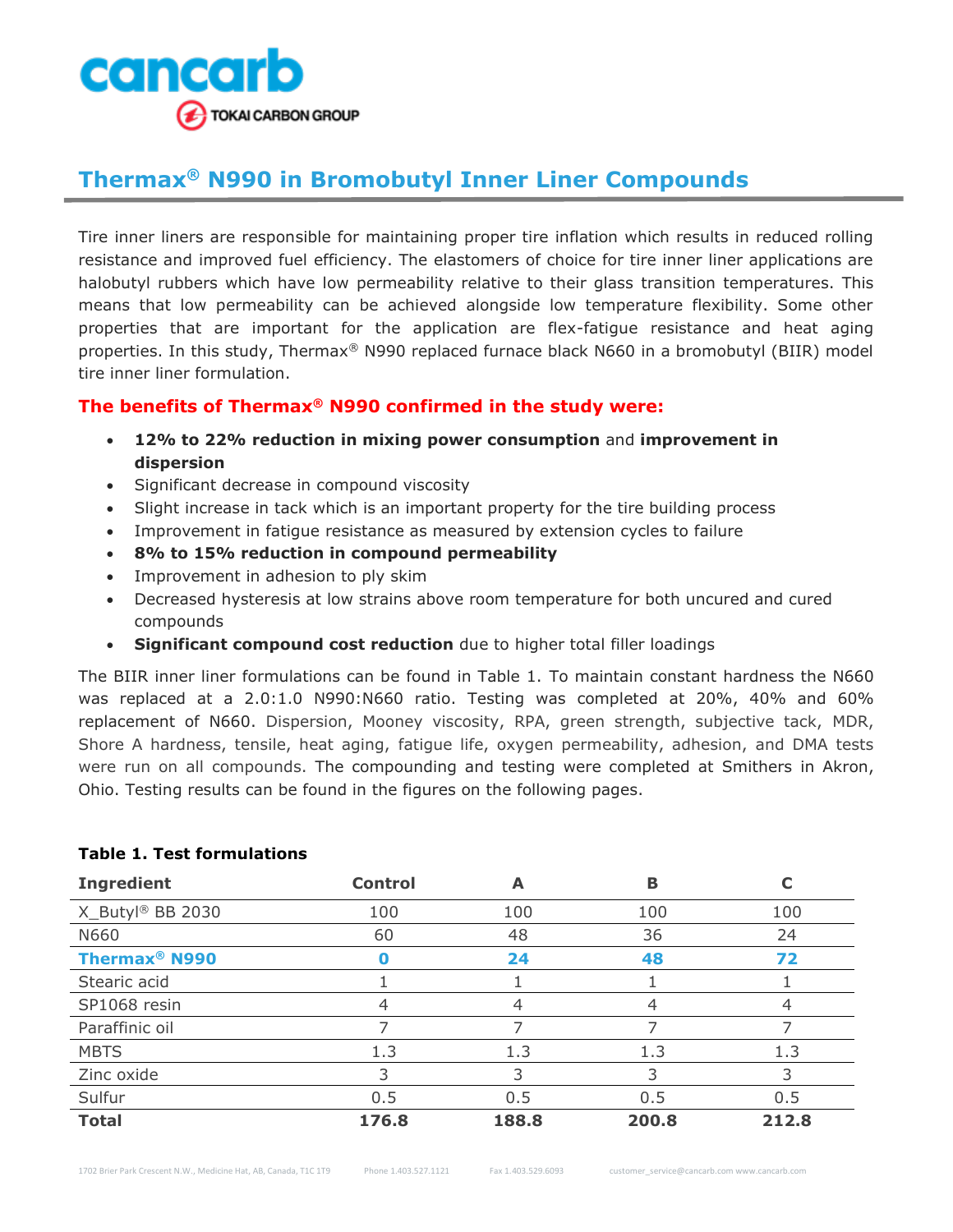

## **Thermax® N990 in Bromobutyl Inner Liner Compounds**

Tire inner liners are responsible for maintaining proper tire inflation which results in reduced rolling resistance and improved fuel efficiency. The elastomers of choice for tire inner liner applications are halobutyl rubbers which have low permeability relative to their glass transition temperatures. This means that low permeability can be achieved alongside low temperature flexibility. Some other properties that are important for the application are flex-fatigue resistance and heat aging properties. In this study, Thermax<sup>®</sup> N990 replaced furnace black N660 in a bromobutyl (BIIR) model tire inner liner formulation.

## **The benefits of Thermax® N990 confirmed in the study were:**

- **12% to 22% reduction in mixing power consumption** and **improvement in dispersion**
- Significant decrease in compound viscosity
- Slight increase in tack which is an important property for the tire building process
- Improvement in fatigue resistance as measured by extension cycles to failure
- **8% to 15% reduction in compound permeability**
- Improvement in adhesion to ply skim
- Decreased hysteresis at low strains above room temperature for both uncured and cured compounds
- **Significant compound cost reduction** due to higher total filler loadings

The BIIR inner liner formulations can be found in Table 1. To maintain constant hardness the N660 was replaced at a 2.0:1.0 N990:N660 ratio. Testing was completed at 20%, 40% and 60% replacement of N660. Dispersion, Mooney viscosity, RPA, green strength, subjective tack, MDR, Shore A hardness, tensile, heat aging, fatigue life, oxygen permeability, adhesion, and DMA tests were run on all compounds. The compounding and testing were completed at Smithers in Akron, Ohio. Testing results can be found in the figures on the following pages.

| <b>Ingredient</b>               | <b>Control</b> | А     | B     |       |
|---------------------------------|----------------|-------|-------|-------|
| X_Butyl® BB 2030                | 100            | 100   | 100   | 100   |
| N660                            | 60             | 48    | 36    | 24    |
| <b>Thermax<sup>®</sup> N990</b> |                | 24    | 48    | 72    |
| Stearic acid                    |                |       |       |       |
| SP1068 resin                    | 4              | 4     | 4     |       |
| Paraffinic oil                  |                |       |       |       |
| <b>MBTS</b>                     | 1.3            | 1.3   | 1.3   | 1.3   |
| Zinc oxide                      | 3              | 3     | 3     | 3     |
| Sulfur                          | 0.5            | 0.5   | 0.5   | 0.5   |
| <b>Total</b>                    | 176.8          | 188.8 | 200.8 | 212.8 |

## **Table 1. Test formulations**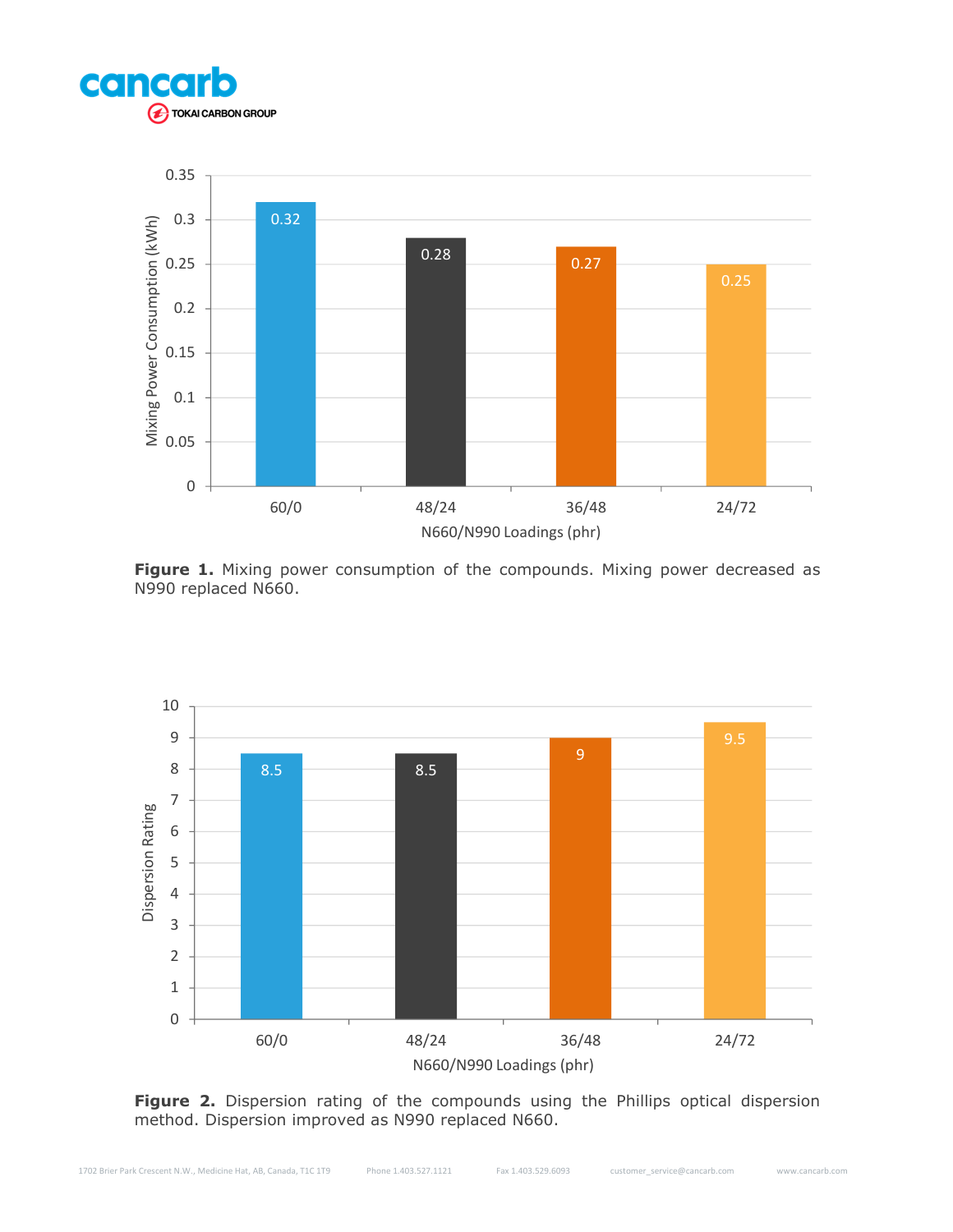



Figure 1. Mixing power consumption of the compounds. Mixing power decreased as N990 replaced N660.



Figure 2. Dispersion rating of the compounds using the Phillips optical dispersion method. Dispersion improved as N990 replaced N660.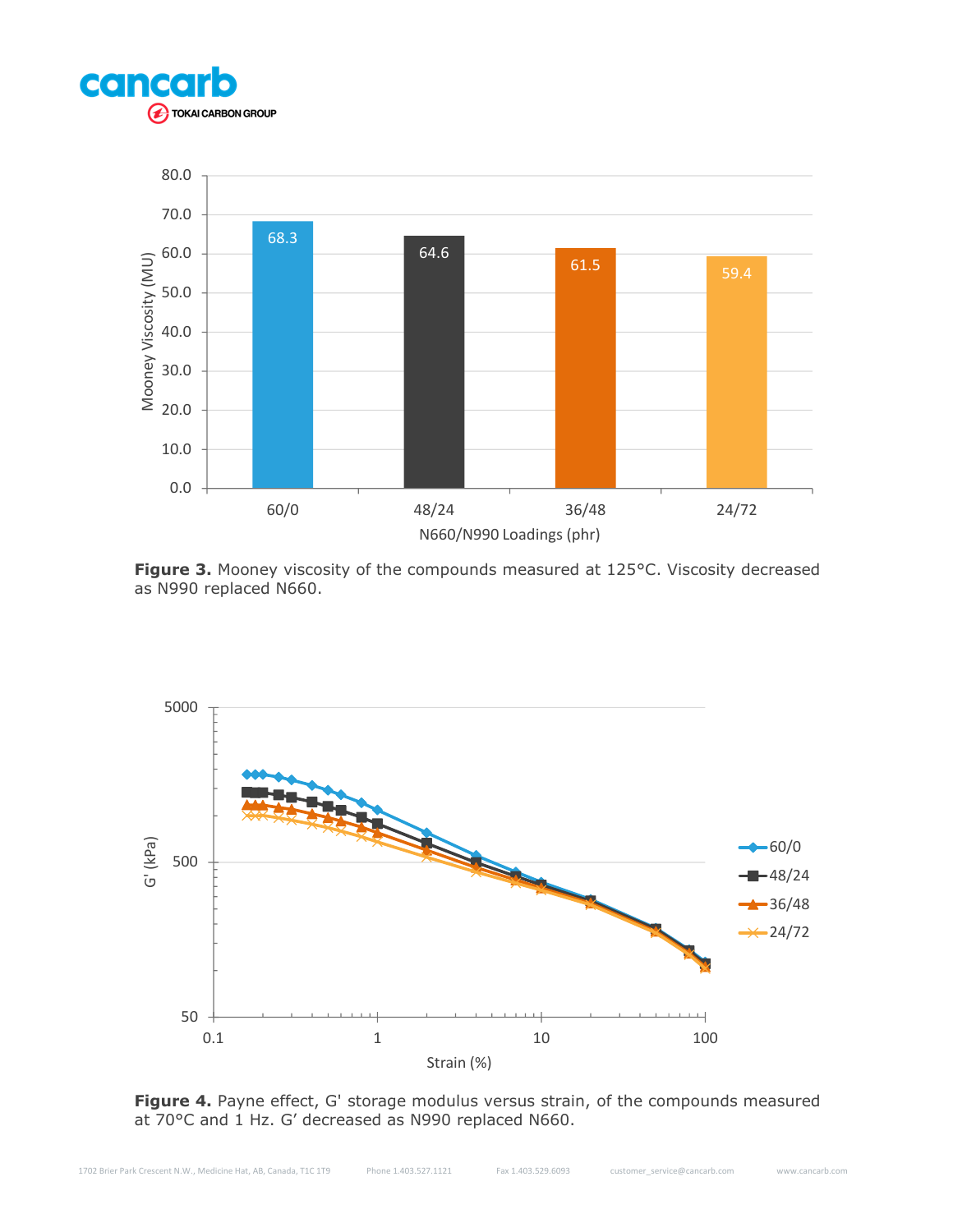



**Figure 3.** Mooney viscosity of the compounds measured at 125°C. Viscosity decreased as N990 replaced N660.



Figure 4. Payne effect, G' storage modulus versus strain, of the compounds measured at 70°C and 1 Hz. G' decreased as N990 replaced N660.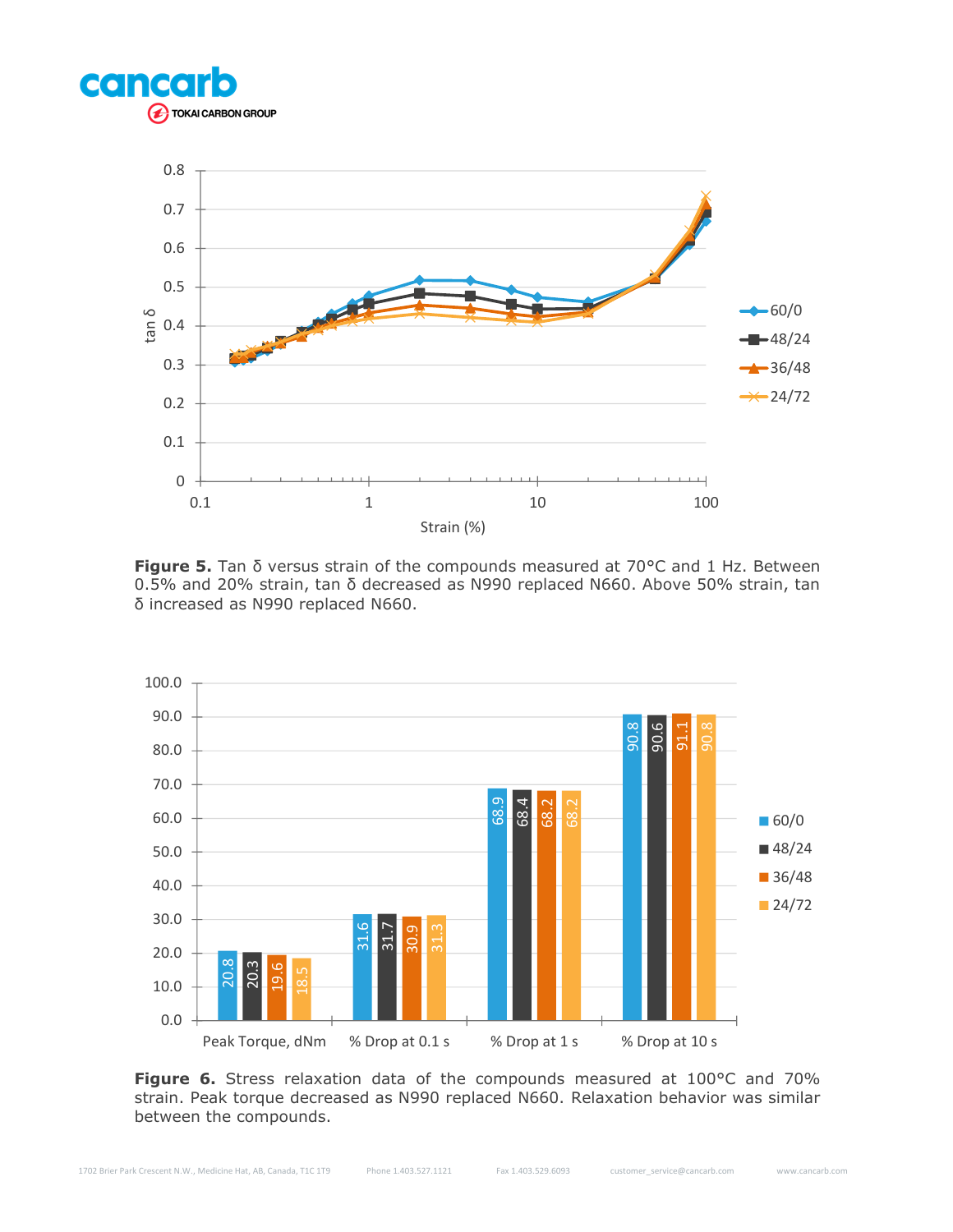



**Figure 5.** Tan δ versus strain of the compounds measured at 70°C and 1 Hz. Between 0.5% and 20% strain, tan δ decreased as N990 replaced N660. Above 50% strain, tan δ increased as N990 replaced N660.



**Figure 6.** Stress relaxation data of the compounds measured at 100°C and 70% strain. Peak torque decreased as N990 replaced N660. Relaxation behavior was similar between the compounds.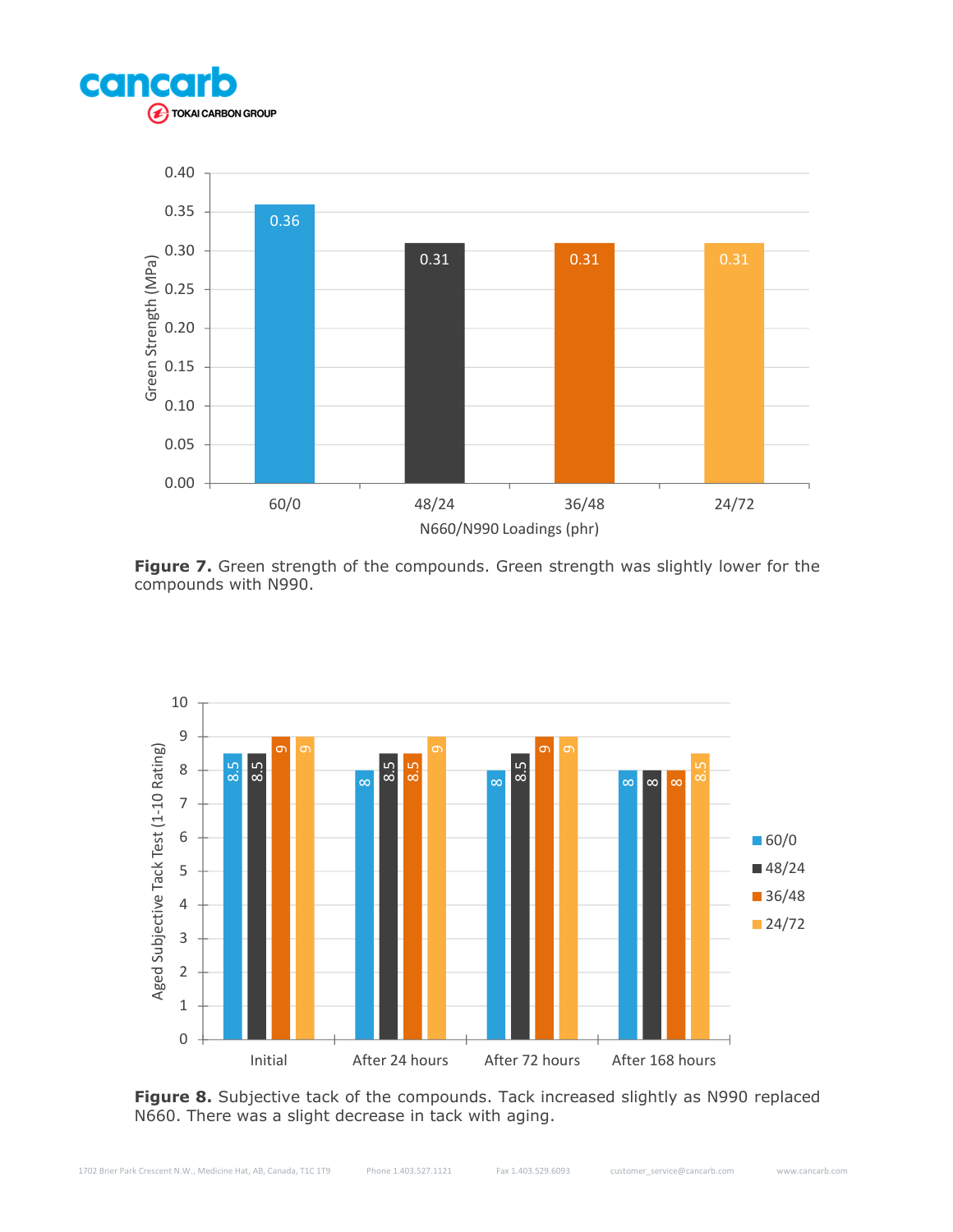



Figure 7. Green strength of the compounds. Green strength was slightly lower for the compounds with N990.



Figure 8. Subjective tack of the compounds. Tack increased slightly as N990 replaced N660. There was a slight decrease in tack with aging.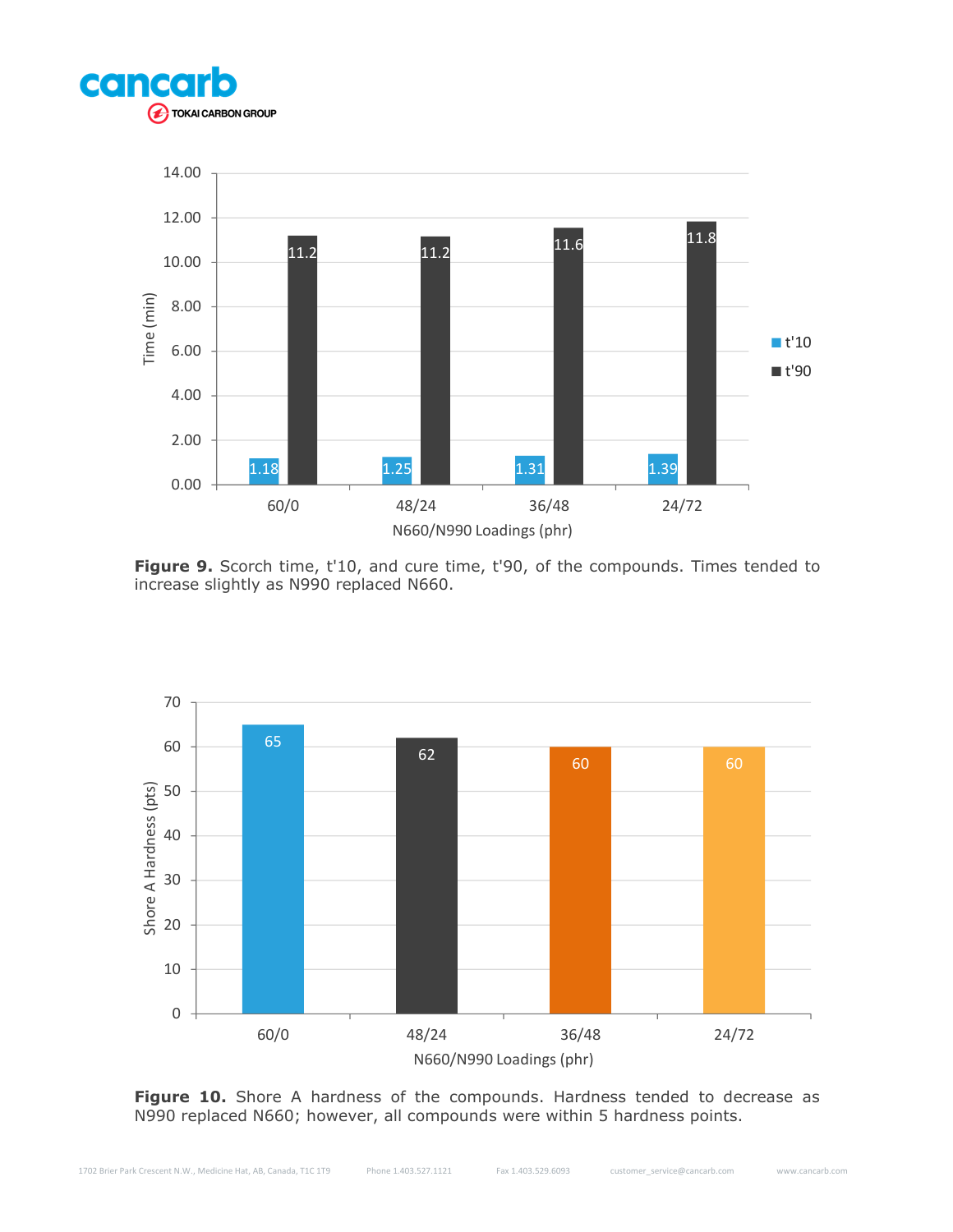



**Figure 9.** Scorch time, t'10, and cure time, t'90, of the compounds. Times tended to increase slightly as N990 replaced N660.



Figure 10. Shore A hardness of the compounds. Hardness tended to decrease as N990 replaced N660; however, all compounds were within 5 hardness points.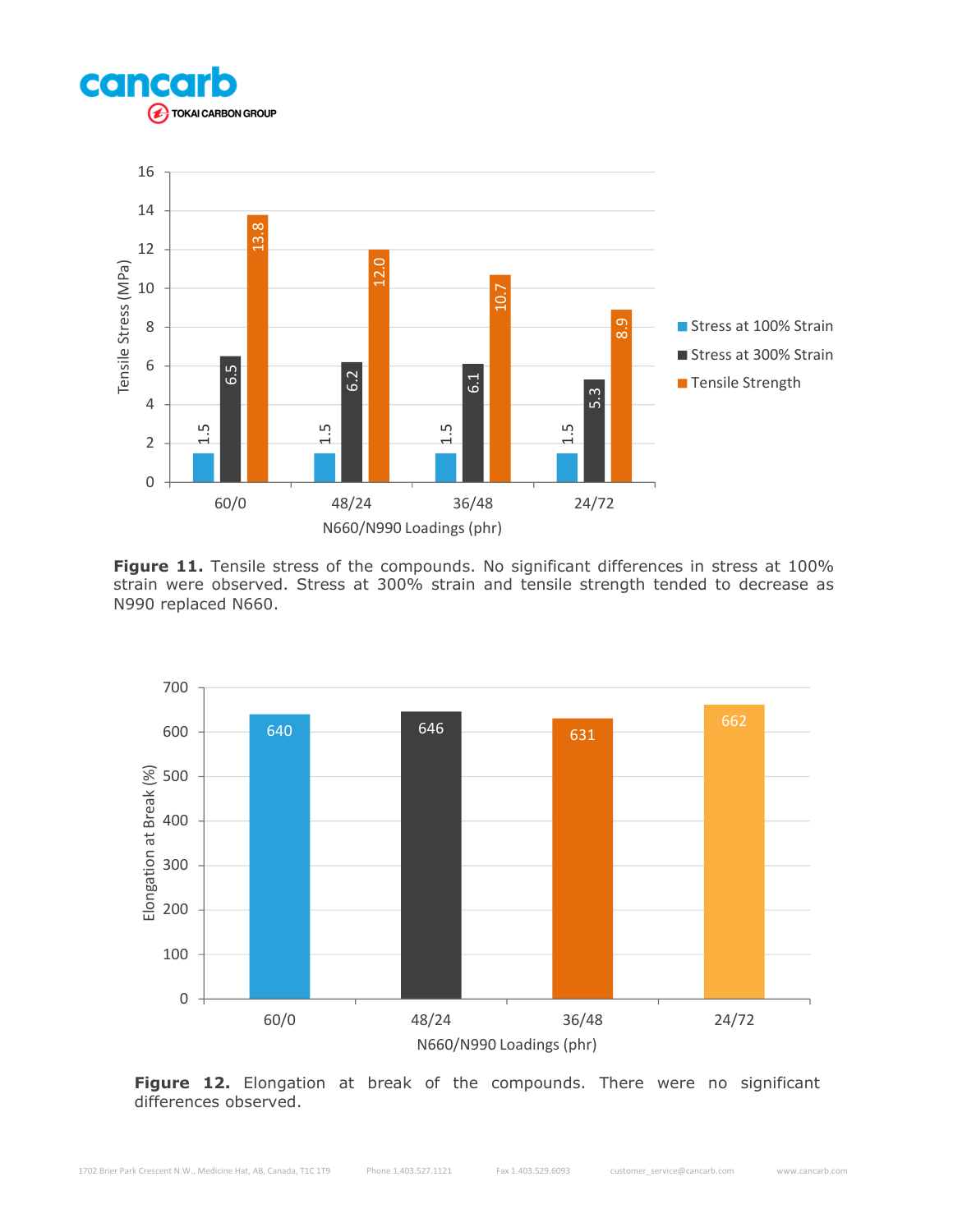



Figure 11. Tensile stress of the compounds. No significant differences in stress at 100% strain were observed. Stress at 300% strain and tensile strength tended to decrease as N990 replaced N660.



Figure 12. Elongation at break of the compounds. There were no significant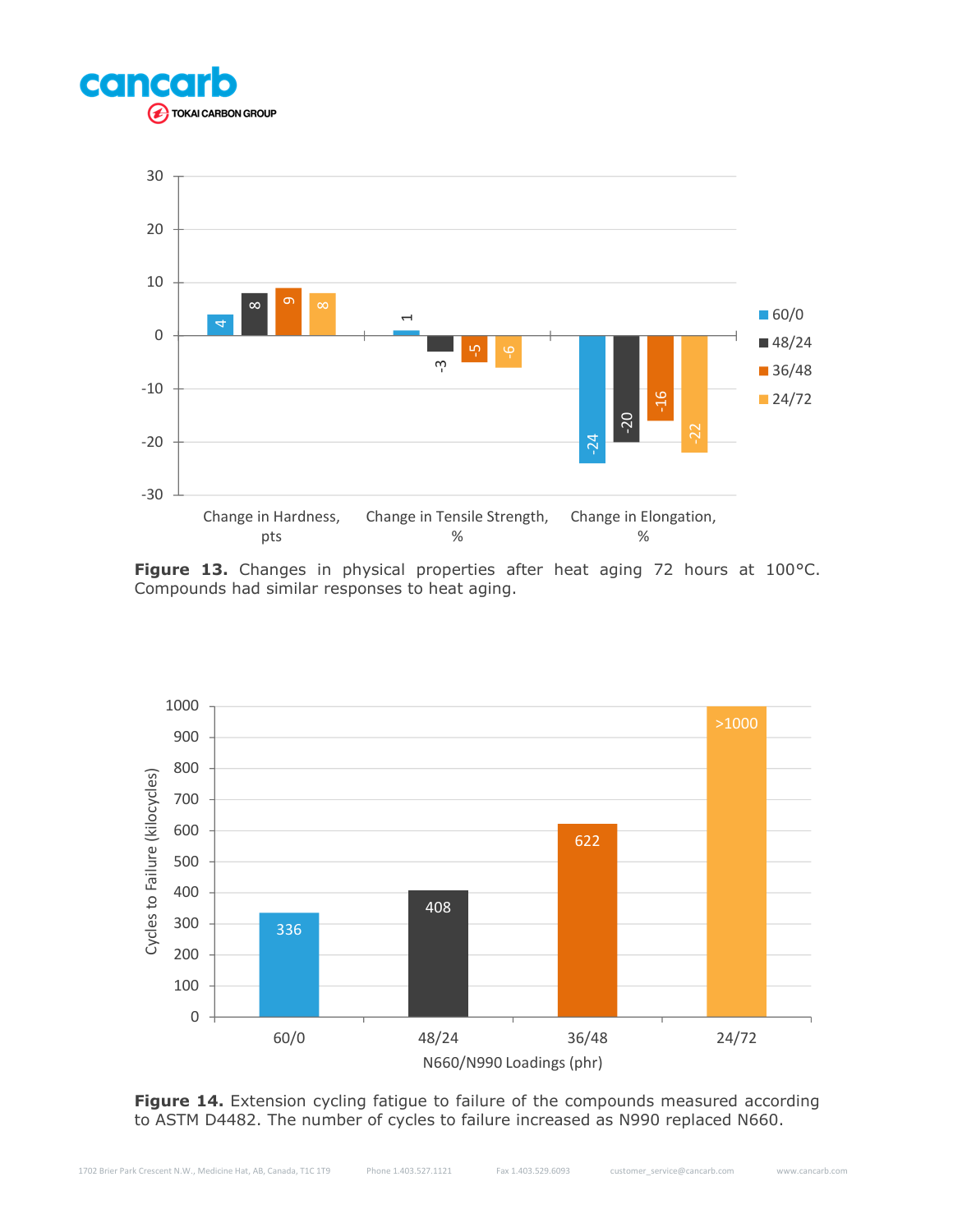



Figure 13. Changes in physical properties after heat aging 72 hours at 100°C. Compounds had similar responses to heat aging.



Figure 14. Extension cycling fatigue to failure of the compounds measured according to ASTM D4482. The number of cycles to failure increased as N990 replaced N660.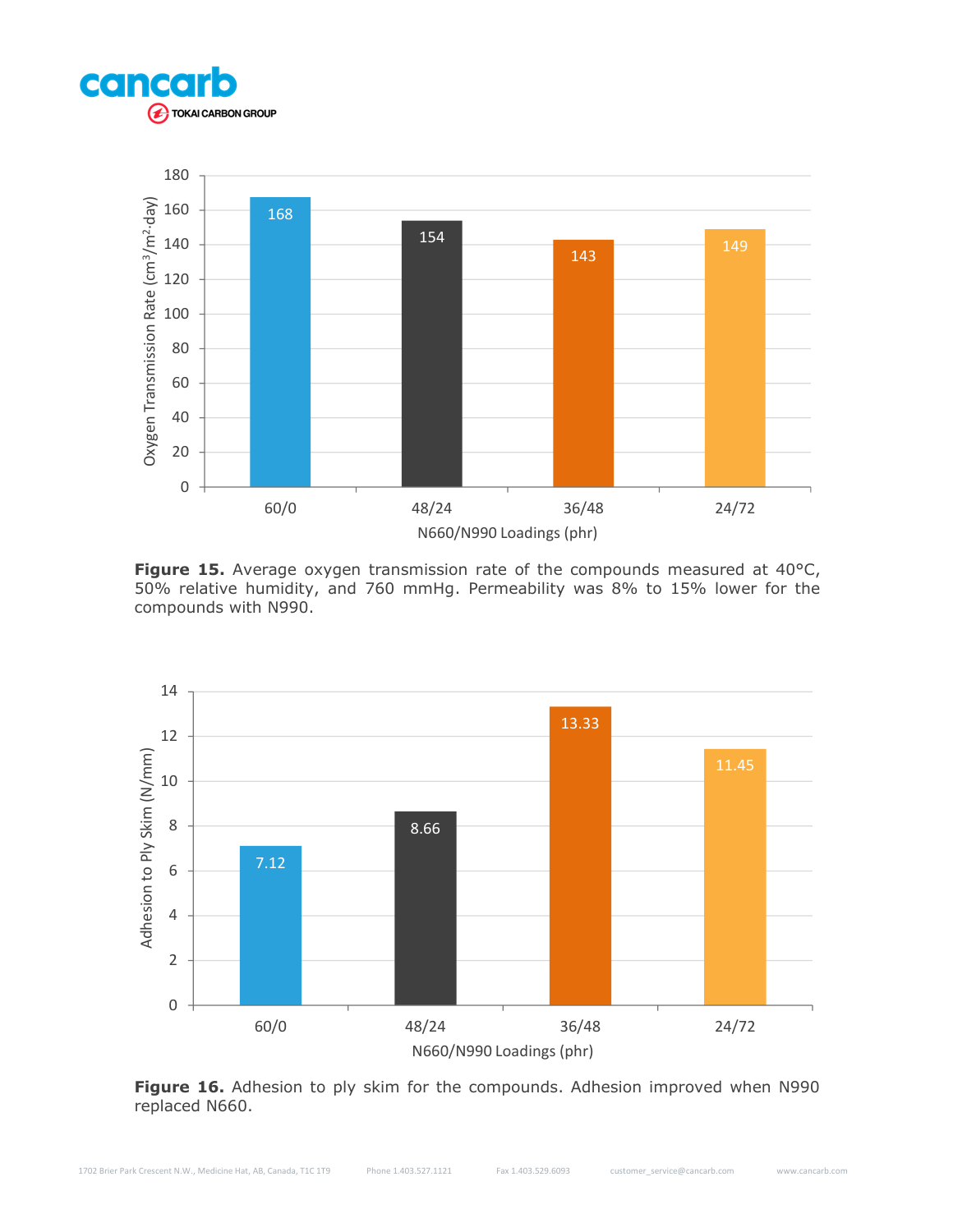



Figure 15. Average oxygen transmission rate of the compounds measured at 40°C, 50% relative humidity, and 760 mmHg. Permeability was 8% to 15% lower for the compounds with N990.



Figure 16. Adhesion to ply skim for the compounds. Adhesion improved when N990 replaced N660.